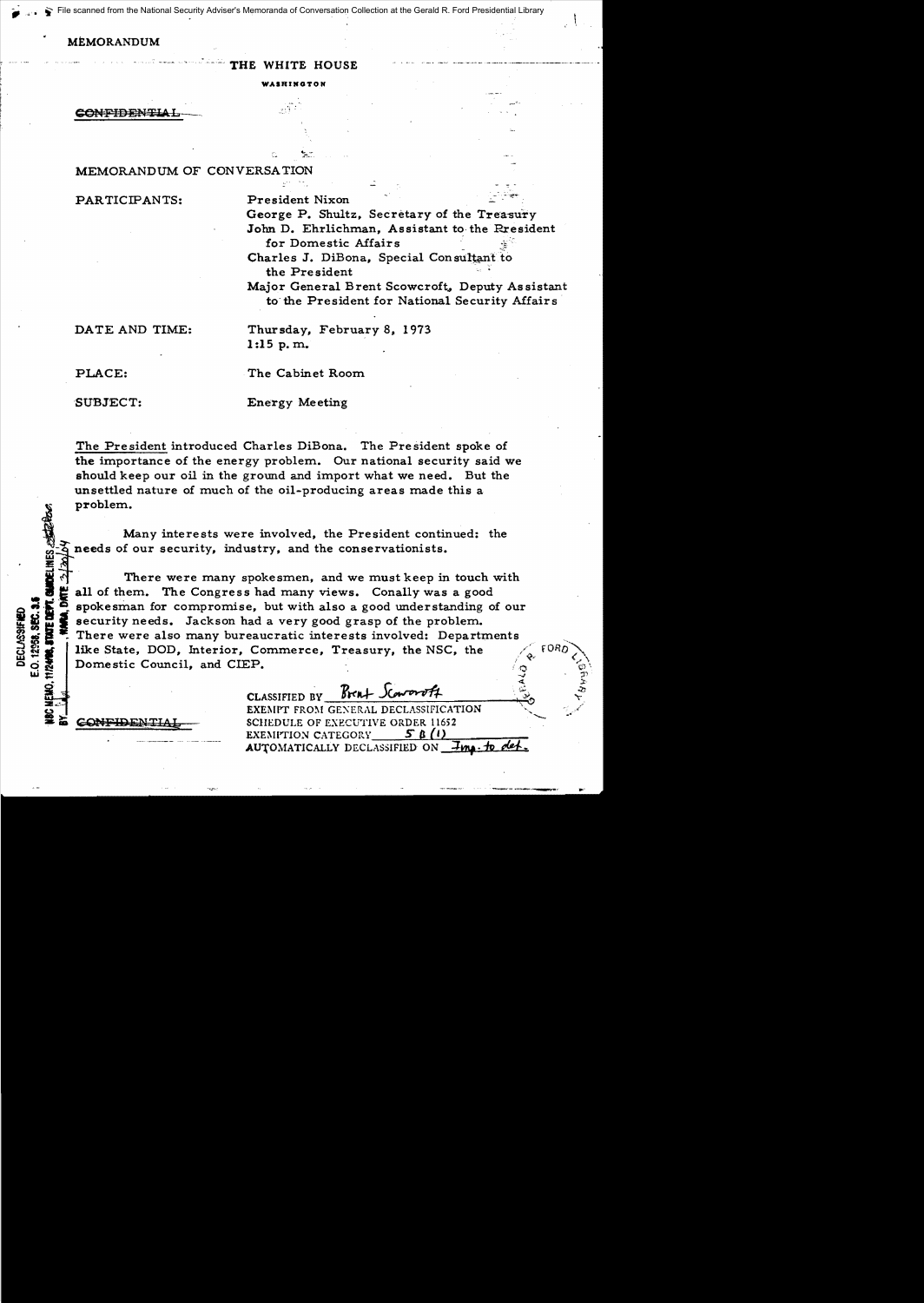scanned from the National Security Adviser's Memoranda of Conversation Collection at the Gerald R. Ford Presidential Library

## **MEMORANDUM**

THE WHITE HOUSE

WASHINGTON

**CONFIDENTIAI** 

## MEMORANDUM OF CONVERSATION

PARTICIPANTS:

President Nixon George P. Shultz, Secretary of the Treasury John D. Ehrlichman, Assistant to the Rresident for Domestic Affairs Charles J. DiBona, Special Consultant to the President

Major General Brent Scowcroft, Deputy Assistant to the President for National Security Affairs

DATE AND TIME:

Thursday, February 8, 1973  $1:15$  p.m.

PLACE:

The Cabinet Room

SUBJECT:

**Energy Meeting** 

The President introduced Charles DiBona. The President spoke of the importance of the energy problem. Our national security said we should keep our oil in the ground and import what we need. But the unsettled nature of much of the oil-producing areas made this a problem.

Many interests were involved, the President continued: the needs of our security, industry, and the conservationists.

There were many spokesmen, and we must keep in touch with all of them. The Congress had many views. Conally was a good spokesman for compromise, but with also a good understanding of our security needs. Jackson had a very good grasp of the problem. There were also many bureaucratic interests involved: Departments like State, DOD, Interior, Commerce, Treasury, the NSC, the Domestic Council, and CIEP.

> $Brn+$  Sca CLASSIFIED BY EXEMPT FROM GENERAL DECLASSIFICATION SCHEDULE OF EXECUTIVE ORDER 11652 EXEMPTION CATEGORY\_ 5 B (1) AUTOMATICALLY DECLASSIFIED ON *Ima. to*

E.O. 12958. SEC. 3.1 **DECLASSIFIED** 

CONT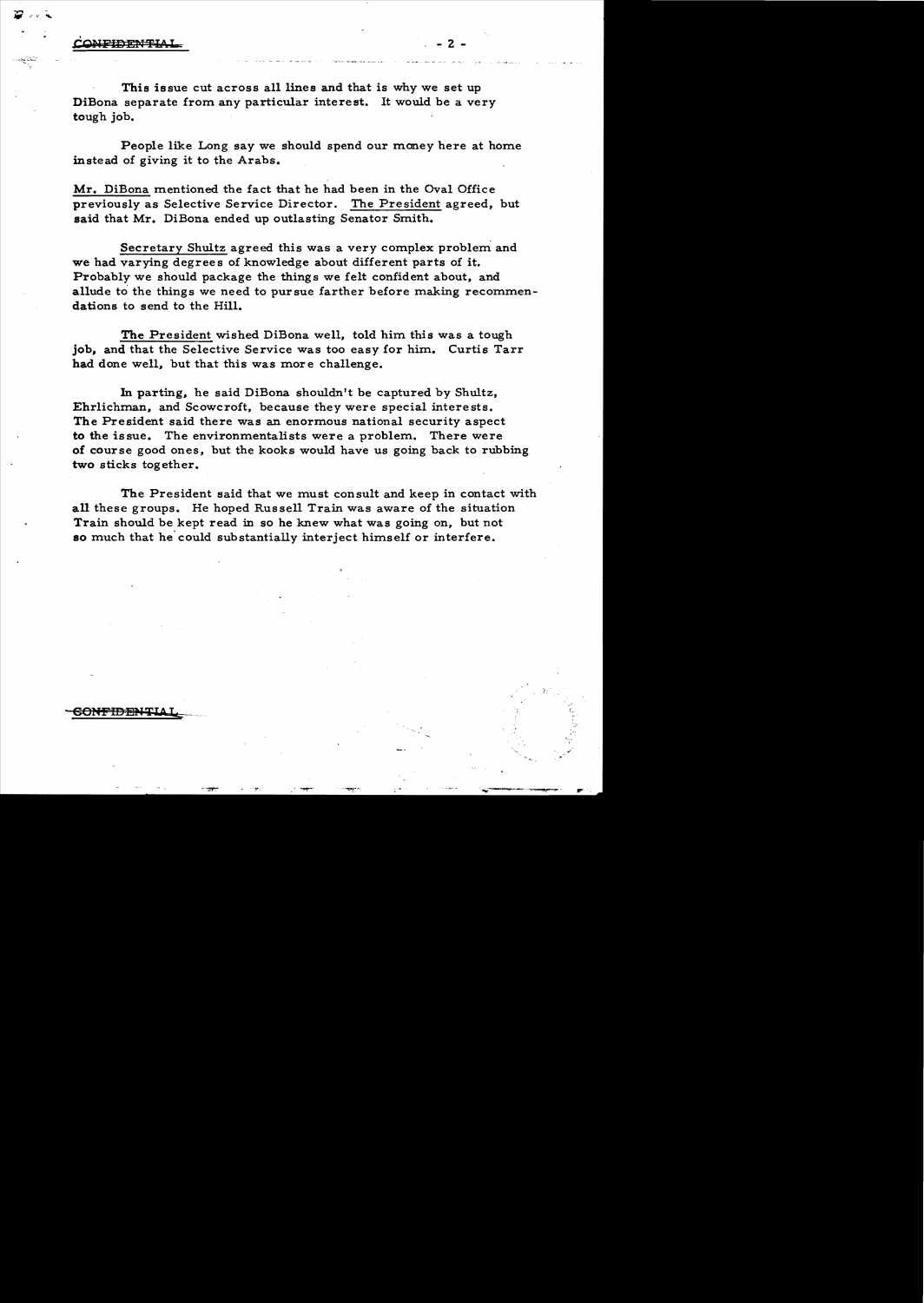## **ONFIDENTI**

This issue cut across all lines and that is why we set up DiBona separate from any particular interest. It would be a very tough job.

People like Long say we should spend our money here at home instead of giving it to the Arabs.

 $\cdot$  - 2 -

Mr. DiBona mentioned the fact that he had been in the Oval Office previously as Selective Service Director. The President agreed, but said that Mr. DiBona ended up outlasting Senator Smith.

Secretary Shultz agreed this was a very complex problem and we had varying degrees of knowledge about different parts of it. Probably we should package the things we felt confident about, and allude to the things we need to pursue farther before making recommendations to send to the Hill.

The President wished DiBona well, told him this was a tough job, and that the Selective Service was too easy for him. Curtis Tarr had done well, but that this was more challenge.

In parting, he said DiBona shouldn't be captured by Shultz, Ehrlichman, and Scowcroft, because they were special interests. The President said there was an enormous national security aspect to the issue. The environmentalists were a problem. There were of course good ones, but the kooks would have us going back to rubbing two sticks together.

The President said that we must consult and keep in contact with all these groups. He hoped Russell Train was aware of the situation Train should be kept read in so he knew what was going on, but not so much that he could substantially interject himself or interfere.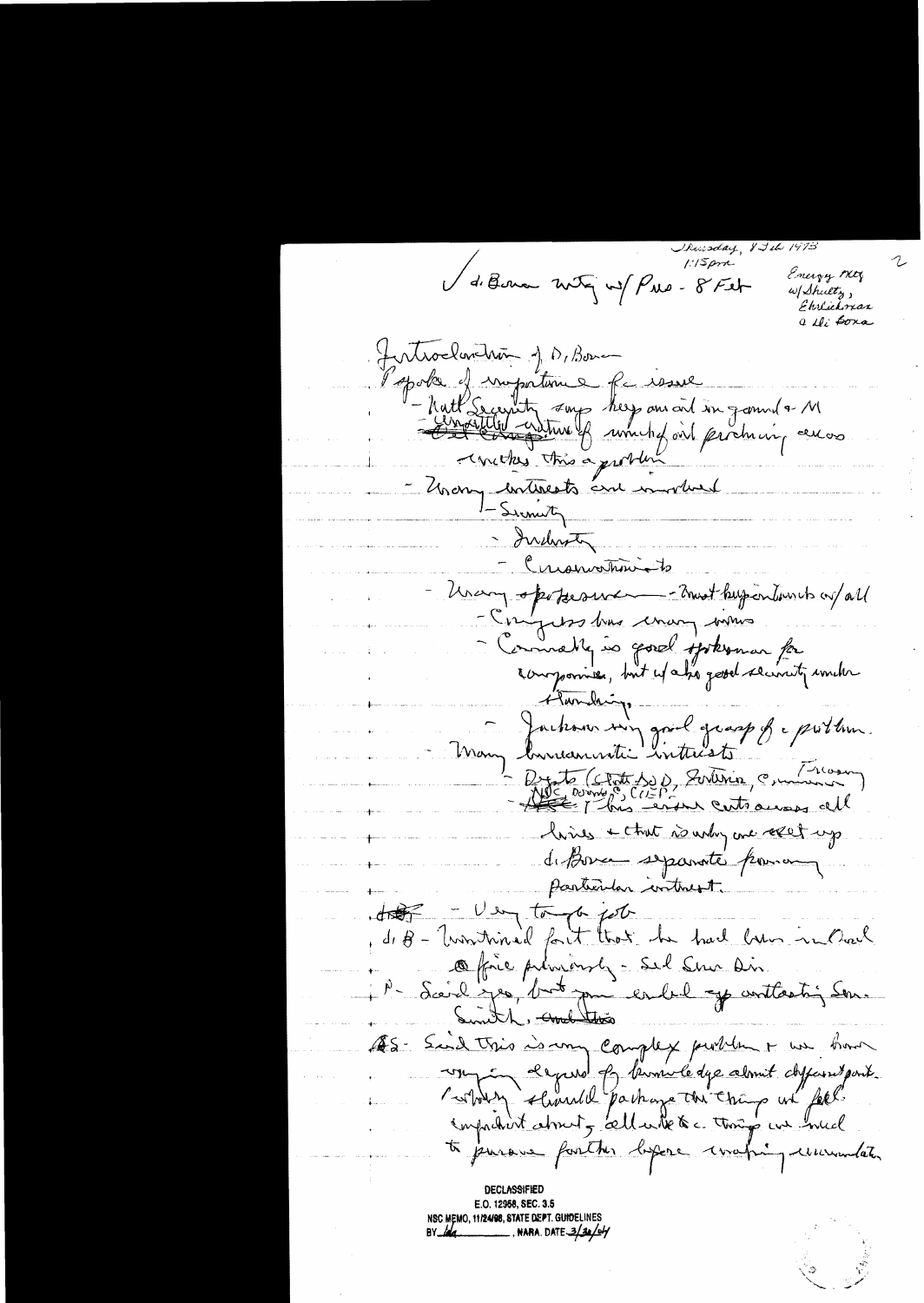ay 8 Jih V de Bernar notre not Pres-8 Feb Energy My w/Shultz, Ehrlichman a ili <del>boxa</del> Jentrocharthan J.D. Bonne spoke of importance for issue Matt Secentity song help ans and in gamme a M -concepts this a problem Unany continents and involved - Simily - Indersta Cuanvatiniste Unary operturement - Trust buy entiments on/all - Engless très crange voirs Commatte is good spokomar for Flandaire Dachons sur goul grasp & problem. Brito (Clate Se), Surtinin, Communico) hives + that is why are relet up. de Bouce se parate pour un particular intrest. - Using tomorrow fort  $\frac{1}{\sqrt{1-\frac{1}{2}}\sqrt{\frac{1}{2}}}}$ d, B - Universitived fait that he had been in Overly Office privingly - Sel Sur Dir. Sceich ses, but pui en bil y contractin Son. ES- Said this is my complex public + we have un depend le beminde de abrient chefans pour to jurous further before wating unumber DECLASSIFIED E.O. 12958, SEC. 3.5 NSC MEMO, 11/24/98, STATE DEPT. GUIDELINES

\_, NARA, DATE 3/30/04